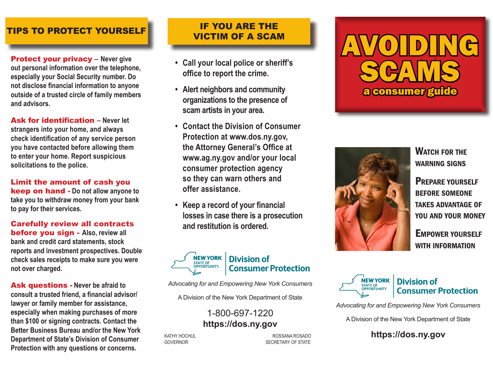### TIPS TO PROTECT YOURSELF

Protect your privacy – **Never give out personal information over the telephone, especially your Social Security number. Do not disclose financial information to anyone outside of a trusted circle of family members and advisors.** 

Ask for identification – **Never let strangers into your home, and always check identification of any service person you have contacted before allowing them to enter your home. Report suspicious solicitations to the police.**

Limit the amount of cash you keep on hand - **Do not allow anyone to take you to withdraw money from your bank to pay for their services.**

Carefully review all contracts before you sign - **Also, review all bank and credit card statements, stock reports and investment prospectives. Double check sales receipts to make sure you were not over charged.**

Ask questions - **Never be afraid to consult a trusted friend, a financial advisor/ lawyer or family member for assistance, especially when making purchases of more than \$100 or signing contracts. Contact the Better Business Bureau and/or the New York Department of State's Division of Consumer Protection with any questions or concerns.** 

## IF YOU ARE THE VICTIM OF A SCAM

- **• Call your local police or sheriff's office to report the crime.**
- **• Alert neighbors and community organizations to the presence of scam artists in your area.**
- **• Contact the Division of Consumer Protection at www.dos.ny.gov, the Attorney General's Office at www.ag.ny.gov and/or your local consumer protection agency so they can warn others and offer assistance.**
- **• Keep a record of your financial losses in case there is a prosecution and restitution is ordered.**



*Advocating for and Empowering New York Consumers*

A Division of the New York Department of State

1-800-697-1220 **https://dos.ny.gov**

KATHY HOCHUL **Example 2008** ROSSANA ROSADO GOVERNOR GOVERNOR SECRETARY OF STATE





WATCH FOR THE warning signs

Prepare yourself before someone takes advantage of you and your money

Empower yourself with information



### **Division of Consumer Protection**

*Advocating for and Empowering New York Consumers*

A Division of the New York Department of State

**https://dos.ny.gov**